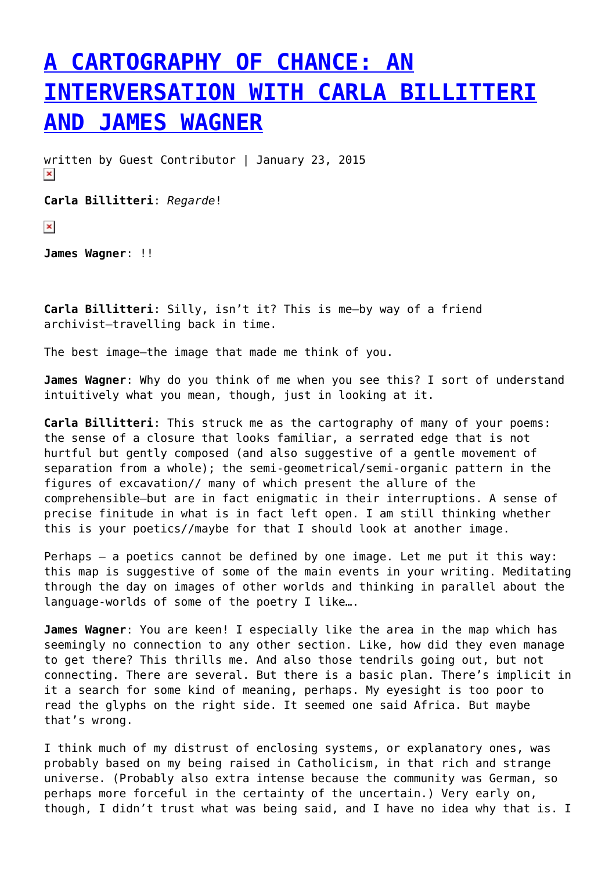## **[A CARTOGRAPHY OF CHANCE: AN](https://entropymag.org/a-cartography-of-chance-an-interversation-with-carla-billitteri-and-james-wagner/) [INTERVERSATION WITH CARLA BILLITTERI](https://entropymag.org/a-cartography-of-chance-an-interversation-with-carla-billitteri-and-james-wagner/) [AND JAMES WAGNER](https://entropymag.org/a-cartography-of-chance-an-interversation-with-carla-billitteri-and-james-wagner/)**

written by Guest Contributor | January 23, 2015  $\pmb{\times}$ 

**Carla Billitteri**: *Regarde*!

 $\pmb{\times}$ 

**James Wagner**: !!

**Carla Billitteri**: Silly, isn't it? This is me–by way of a friend archivist–travelling back in time.

The best image–the image that made me think of you.

**James Wagner**: Why do you think of me when you see this? I sort of understand intuitively what you mean, though, just in looking at it.

**Carla Billitteri**: This struck me as the cartography of many of your poems: the sense of a closure that looks familiar, a serrated edge that is not hurtful but gently composed (and also suggestive of a gentle movement of separation from a whole); the semi-geometrical/semi-organic pattern in the figures of excavation// many of which present the allure of the comprehensible–but are in fact enigmatic in their interruptions. A sense of precise finitude in what is in fact left open. I am still thinking whether this is your poetics//maybe for that I should look at another image.

Perhaps — a poetics cannot be defined by one image. Let me put it this way: this map is suggestive of some of the main events in your writing. Meditating through the day on images of other worlds and thinking in parallel about the language-worlds of some of the poetry I like….

**James Wagner**: You are keen! I especially like the area in the map which has seemingly no connection to any other section. Like, how did they even manage to get there? This thrills me. And also those tendrils going out, but not connecting. There are several. But there is a basic plan. There's implicit in it a search for some kind of meaning, perhaps. My eyesight is too poor to read the glyphs on the right side. It seemed one said Africa. But maybe that's wrong.

I think much of my distrust of enclosing systems, or explanatory ones, was probably based on my being raised in Catholicism, in that rich and strange universe. (Probably also extra intense because the community was German, so perhaps more forceful in the certainty of the uncertain.) Very early on, though, I didn't trust what was being said, and I have no idea why that is. I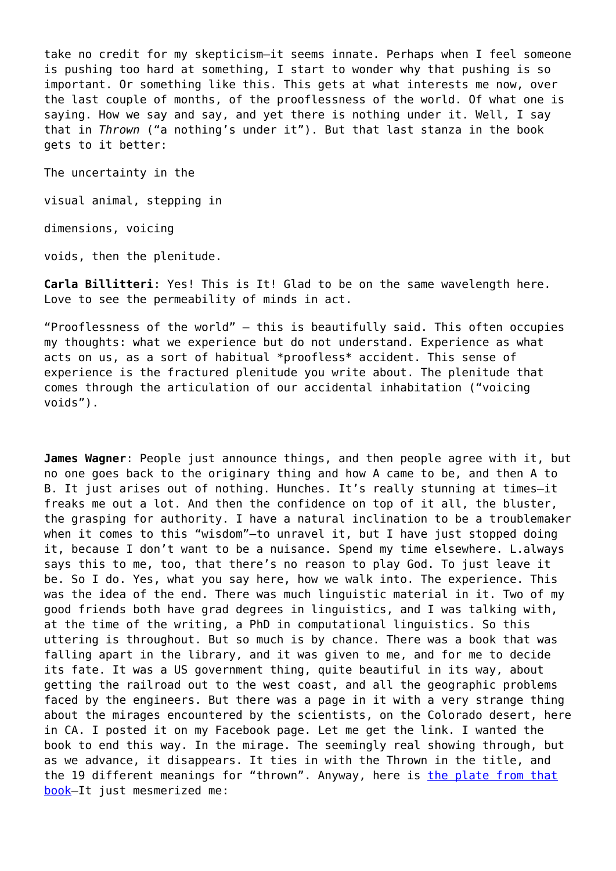take no credit for my skepticism–it seems innate. Perhaps when I feel someone is pushing too hard at something, I start to wonder why that pushing is so important. Or something like this. This gets at what interests me now, over the last couple of months, of the prooflessness of the world. Of what one is saying. How we say and say, and yet there is nothing under it. Well, I say that in *Thrown* ("a nothing's under it"). But that last stanza in the book gets to it better:

The uncertainty in the

visual animal, stepping in

dimensions, voicing

voids, then the plenitude.

**Carla Billitteri**: Yes! This is It! Glad to be on the same wavelength here. Love to see the permeability of minds in act.

"Prooflessness of the world" — this is beautifully said. This often occupies my thoughts: what we experience but do not understand. Experience as what acts on us, as a sort of habitual \*proofless\* accident. This sense of experience is the fractured plenitude you write about. The plenitude that comes through the articulation of our accidental inhabitation ("voicing voids").

**James Wagner**: People just announce things, and then people agree with it, but no one goes back to the originary thing and how A came to be, and then A to B. It just arises out of nothing. Hunches. It's really stunning at times–it freaks me out a lot. And then the confidence on top of it all, the bluster, the grasping for authority. I have a natural inclination to be a troublemaker when it comes to this "wisdom"-to unravel it, but I have just stopped doing it, because I don't want to be a nuisance. Spend my time elsewhere. L.always says this to me, too, that there's no reason to play God. To just leave it be. So I do. Yes, what you say here, how we walk into. The experience. This was the idea of the end. There was much linguistic material in it. Two of my good friends both have grad degrees in linguistics, and I was talking with, at the time of the writing, a PhD in computational linguistics. So this uttering is throughout. But so much is by chance. There was a book that was falling apart in the library, and it was given to me, and for me to decide its fate. It was a US government thing, quite beautiful in its way, about getting the railroad out to the west coast, and all the geographic problems faced by the engineers. But there was a page in it with a very strange thing about the mirages encountered by the scientists, on the Colorado desert, here in CA. I posted it on my Facebook page. Let me get the link. I wanted the book to end this way. In the mirage. The seemingly real showing through, but as we advance, it disappears. It ties in with the Thrown in the title, and the 19 different meanings for "thrown". Anyway, here is [the plate from that](http://quod.lib.umich.edu/m/moa/afk4383.0005.002/299?page=root;rgn=full+text;size=100;view=image) [book](http://quod.lib.umich.edu/m/moa/afk4383.0005.002/299?page=root;rgn=full+text;size=100;view=image)–It just mesmerized me: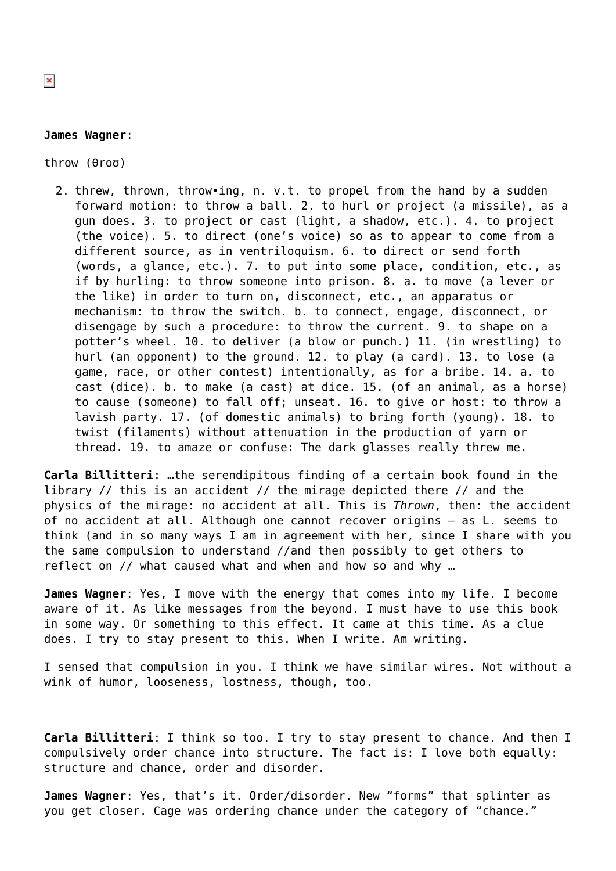## **James Wagner**:

throw (θroʊ)

2. threw, thrown, throw•ing, n. v.t. to propel from the hand by a sudden forward motion: to throw a ball. 2. to hurl or project (a missile), as a gun does. 3. to project or cast (light, a shadow, etc.). 4. to project (the voice). 5. to direct (one's voice) so as to appear to come from a different source, as in ventriloquism. 6. to direct or send forth (words, a glance, etc.). 7. to put into some place, condition, etc., as if by hurling: to throw someone into prison. 8. a. to move (a lever or the like) in order to turn on, disconnect, etc., an apparatus or mechanism: to throw the switch. b. to connect, engage, disconnect, or disengage by such a procedure: to throw the current. 9. to shape on a potter's wheel. 10. to deliver (a blow or punch.) 11. (in wrestling) to hurl (an opponent) to the ground. 12. to play (a card). 13. to lose (a game, race, or other contest) intentionally, as for a bribe. 14. a. to cast (dice). b. to make (a cast) at dice. 15. (of an animal, as a horse) to cause (someone) to fall off; unseat. 16. to give or host: to throw a lavish party. 17. (of domestic animals) to bring forth (young). 18. to twist (filaments) without attenuation in the production of yarn or thread. 19. to amaze or confuse: The dark glasses really threw me.

**Carla Billitteri**: …the serendipitous finding of a certain book found in the library // this is an accident // the mirage depicted there // and the physics of the mirage: no accident at all. This is *Thrown*, then: the accident of no accident at all. Although one cannot recover origins — as L. seems to think (and in so many ways I am in agreement with her, since I share with you the same compulsion to understand //and then possibly to get others to reflect on // what caused what and when and how so and why …

**James Wagner**: Yes, I move with the energy that comes into my life. I become aware of it. As like messages from the beyond. I must have to use this book in some way. Or something to this effect. It came at this time. As a clue does. I try to stay present to this. When I write. Am writing.

I sensed that compulsion in you. I think we have similar wires. Not without a wink of humor, looseness, lostness, though, too.

**Carla Billitteri**: I think so too. I try to stay present to chance. And then I compulsively order chance into structure. The fact is: I love both equally: structure and chance, order and disorder.

**James Wagner**: Yes, that's it. Order/disorder. New "forms" that splinter as you get closer. Cage was ordering chance under the category of "chance."

 $\pmb{\times}$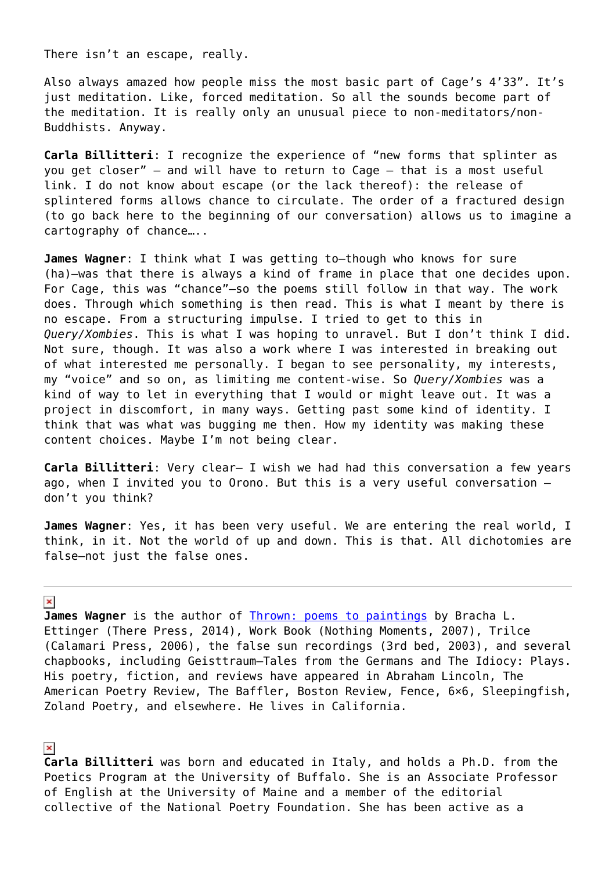There isn't an escape, really.

Also always amazed how people miss the most basic part of Cage's 4'33". It's just meditation. Like, forced meditation. So all the sounds become part of the meditation. It is really only an unusual piece to non-meditators/non-Buddhists. Anyway.

**Carla Billitteri**: I recognize the experience of "new forms that splinter as you get closer" — and will have to return to Cage — that is a most useful link. I do not know about escape (or the lack thereof): the release of splintered forms allows chance to circulate. The order of a fractured design (to go back here to the beginning of our conversation) allows us to imagine a cartography of chance…..

**James Wagner**: I think what I was getting to–though who knows for sure (ha)–was that there is always a kind of frame in place that one decides upon. For Cage, this was "chance"–so the poems still follow in that way. The work does. Through which something is then read. This is what I meant by there is no escape. From a structuring impulse. I tried to get to this in *Query/Xombies*. This is what I was hoping to unravel. But I don't think I did. Not sure, though. It was also a work where I was interested in breaking out of what interested me personally. I began to see personality, my interests, my "voice" and so on, as limiting me content-wise. So *Query/Xombies* was a kind of way to let in everything that I would or might leave out. It was a project in discomfort, in many ways. Getting past some kind of identity. I think that was what was bugging me then. How my identity was making these content choices. Maybe I'm not being clear.

**Carla Billitteri**: Very clear– I wish we had had this conversation a few years ago, when I invited you to Orono. But this is a very useful conversation don't you think?

**James Wagner**: Yes, it has been very useful. We are entering the real world, I think, in it. Not the world of up and down. This is that. All dichotomies are false–not just the false ones.

## $\pmb{\times}$

James Wagner is the author of [Thrown: poems to paintings](%20https://squareup.com/market/there-press/thrown) by Bracha L. Ettinger (There Press, 2014), Work Book (Nothing Moments, 2007), Trilce (Calamari Press, 2006), the false sun recordings (3rd bed, 2003), and several chapbooks, including Geisttraum—Tales from the Germans and The Idiocy: Plays. His poetry, fiction, and reviews have appeared in Abraham Lincoln, The American Poetry Review, The Baffler, Boston Review, Fence, 6×6, Sleepingfish, Zoland Poetry, and elsewhere. He lives in California.

## $\pmb{\times}$

**Carla Billitteri** was born and educated in Italy, and holds a Ph.D. from the Poetics Program at the University of Buffalo. She is an Associate Professor of English at the University of Maine and a member of the editorial collective of the National Poetry Foundation. She has been active as a